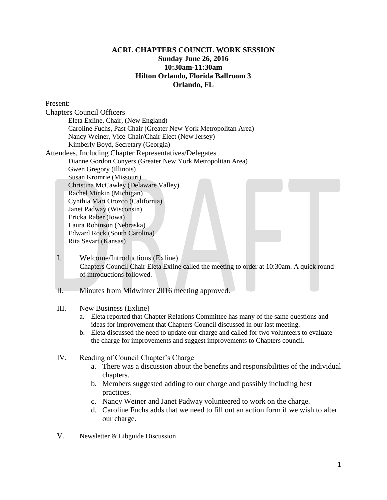## **ACRL CHAPTERS COUNCIL WORK SESSION Sunday June 26, 2016 10:30am-11:30am Hilton Orlando, Florida Ballroom 3 Orlando, FL**

Present: Chapters Council Officers Eleta Exline, Chair, (New England) Caroline Fuchs, Past Chair (Greater New York Metropolitan Area) Nancy Weiner, Vice-Chair/Chair Elect (New Jersey) Kimberly Boyd, Secretary (Georgia) Attendees, Including Chapter Representatives/Delegates Dianne Gordon Conyers (Greater New York Metropolitan Area) Gwen Gregory (Illinois) Susan Kromrie (Missouri) Christina McCawley (Delaware Valley) Rachel Minkin (Michigan) Cynthia Mari Orozco (California) Janet Padway (Wisconsin) Ericka Raber (Iowa) Laura Robinson (Nebraska) Edward Rock (South Carolina) Rita Sevart (Kansas)

- I. Welcome/Introductions (Exline) Chapters Council Chair Eleta Exline called the meeting to order at 10:30am. A quick round of introductions followed.
- II. Minutes from Midwinter 2016 meeting approved.

## III. New Business (Exline)

- a. Eleta reported that Chapter Relations Committee has many of the same questions and ideas for improvement that Chapters Council discussed in our last meeting.
- b. Eleta discussed the need to update our charge and called for two volunteers to evaluate the charge for improvements and suggest improvements to Chapters council.
- IV. Reading of Council Chapter's Charge
	- a. There was a discussion about the benefits and responsibilities of the individual chapters.
	- b. Members suggested adding to our charge and possibly including best practices.
	- c. Nancy Weiner and Janet Padway volunteered to work on the charge.
	- d. Caroline Fuchs adds that we need to fill out an action form if we wish to alter our charge.
- V. Newsletter & Libguide Discussion